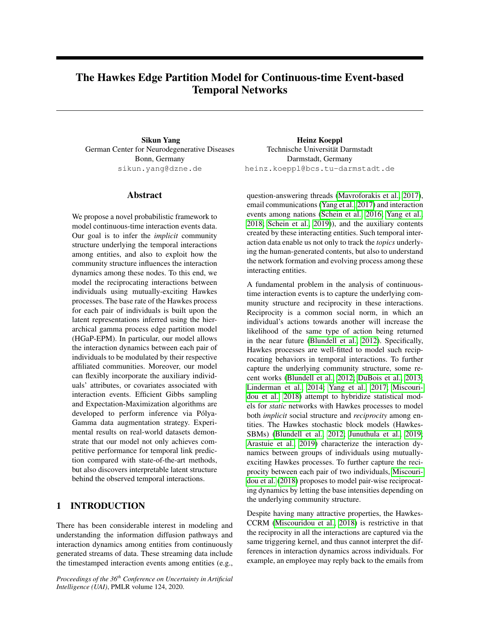# The Hawkes Edge Partition Model for Continuous-time Event-based Temporal Networks

Sikun Yang German Center for Neurodegenerative Diseases Bonn, Germany sikun.yang@dzne.de

## Abstract

We propose a novel probabilistic framework to model continuous-time interaction events data. Our goal is to infer the *implicit* community structure underlying the temporal interactions among entities, and also to exploit how the community structure influences the interaction dynamics among these nodes. To this end, we model the reciprocating interactions between individuals using mutually-exciting Hawkes processes. The base rate of the Hawkes process for each pair of individuals is built upon the latent representations inferred using the hierarchical gamma process edge partition model (HGaP-EPM). In particular, our model allows the interaction dynamics between each pair of individuals to be modulated by their respective affiliated communities. Moreover, our model can flexibly incorporate the auxiliary individuals' attributes, or covariates associated with interaction events. Efficient Gibbs sampling and Expectation-Maximization algorithms are developed to perform inference via Pólya-Gamma data augmentation strategy. Experimental results on real-world datasets demonstrate that our model not only achieves competitive performance for temporal link prediction compared with state-of-the-art methods, but also discovers interpretable latent structure behind the observed temporal interactions.

## 1 INTRODUCTION

There has been considerable interest in modeling and understanding the information diffusion pathways and interaction dynamics among entities from continuously generated streams of data. These streaming data include the timestamped interaction events among entities (e.g.,

*Proceedings of the 36th Conference on Uncertainty in Artificial Intelligence (UAI)*, PMLR volume 124, 2020.

Heinz Koeppl Technische Universität Darmstadt Darmstadt, Germany heinz.koeppl@bcs.tu-darmstadt.de

question-answering threads [\(Mavroforakis et al., 2017\)](#page-9-0), email communications [\(Yang et al., 2017\)](#page-9-1) and interaction events among nations [\(Schein et al., 2016;](#page-9-2) [Yang et al.,](#page-9-3) [2018;](#page-9-3) [Schein et al., 2019\)](#page-9-4)), and the auxiliary contents created by these interacting entities. Such temporal interaction data enable us not only to track the *topics* underlying the human-generated contents, but also to understand the network formation and evolving process among these interacting entities.

A fundamental problem in the analysis of continuoustime interaction events is to capture the underlying community structure and reciprocity in these interactions. Reciprocity is a common social norm, in which an individual's actions towards another will increase the likelihood of the same type of action being returned in the near future [\(Blundell et al., 2012\)](#page-9-5). Specifically, Hawkes processes are well-fitted to model such reciprocating behaviors in temporal interactions. To further capture the underlying community structure, some recent works [\(Blundell et al., 2012;](#page-9-5) [DuBois et al., 2013;](#page-9-6) [Linderman et al., 2014;](#page-9-7) [Yang et al., 2017;](#page-9-1) [Miscouri](#page-9-8)[dou et al., 2018\)](#page-9-8) attempt to hybridize statistical models for *static* networks with Hawkes processes to model both *implicit* social structure and *reciprocity* among entities. The Hawkes stochastic block models (Hawkes-SBMs) [\(Blundell et al., 2012;](#page-9-5) [Junuthula et al., 2019;](#page-9-9) [Arastuie et al., 2019\)](#page-9-10) characterize the interaction dynamics between groups of individuals using mutuallyexciting Hawkes processes. To further capture the reciprocity between each pair of two individuals, [Miscouri](#page-9-8)[dou et al.](#page-9-8) [\(2018\)](#page-9-8) proposes to model pair-wise reciprocating dynamics by letting the base intensities depending on the underlying community structure.

Despite having many attractive properties, the Hawkes-CCRM [\(Miscouridou et al., 2018\)](#page-9-8) is restrictive in that the reciprocity in all the interactions are captured via the same triggering kernel, and thus cannot interpret the differences in interaction dynamics across individuals. For example, an employee may reply back to the emails from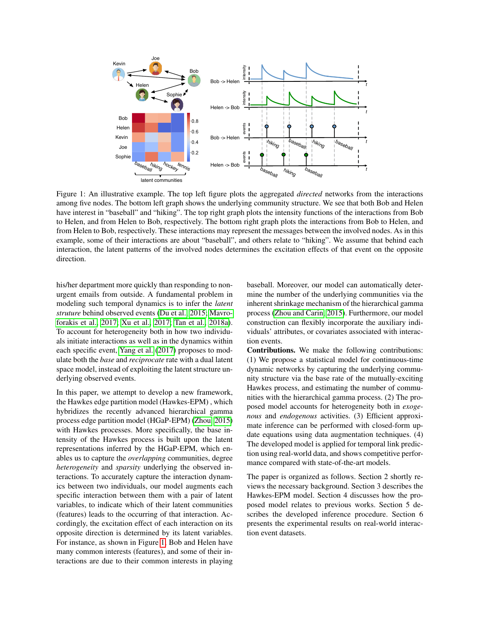<span id="page-1-0"></span>

Figure 1: An illustrative example. The top left figure plots the aggregated *directed* networks from the interactions among five nodes. The bottom left graph shows the underlying community structure. We see that both Bob and Helen have interest in "baseball" and "hiking". The top right graph plots the intensity functions of the interactions from Bob to Helen, and from Helen to Bob, respectively. The bottom right graph plots the interactions from Bob to Helen, and from Helen to Bob, respectively. These interactions may represent the messages between the involved nodes. As in this example, some of their interactions are about "baseball", and others relate to "hiking". We assume that behind each interaction, the latent patterns of the involved nodes determines the excitation effects of that event on the opposite direction.

his/her department more quickly than responding to nonurgent emails from outside. A fundamental problem in modeling such temporal dynamics is to infer the *latent struture* behind observed events [\(Du et al., 2015;](#page-9-11) [Mavro](#page-9-0)[forakis et al., 2017;](#page-9-0) [Xu et al., 2017;](#page-9-12) [Tan et al., 2018a\)](#page-9-13). To account for heterogeneity both in how two individuals initiate interactions as well as in the dynamics within each specific event, [Yang et al.](#page-9-1) [\(2017\)](#page-9-1) proposes to modulate both the *base* and *reciprocate* rate with a dual latent space model, instead of exploiting the latent structure underlying observed events.

In this paper, we attempt to develop a new framework, the Hawkes edge partition model (Hawkes-EPM) , which hybridizes the recently advanced hierarchical gamma process edge partition model (HGaP-EPM) [\(Zhou, 2015\)](#page-9-14) with Hawkes processes. More specifically, the base intensity of the Hawkes process is built upon the latent representations inferred by the HGaP-EPM, which enables us to capture the *overlapping* communities, degree *heterogeneity* and *sparsity* underlying the observed interactions. To accurately capture the interaction dynamics between two individuals, our model augments each specific interaction between them with a pair of latent variables, to indicate which of their latent communities (features) leads to the occurring of that interaction. Accordingly, the excitation effect of each interaction on its opposite direction is determined by its latent variables. For instance, as shown in Figure [1,](#page-1-0) Bob and Helen have many common interests (features), and some of their interactions are due to their common interests in playing baseball. Moreover, our model can automatically determine the number of the underlying communities via the inherent shrinkage mechanism of the hierarchical gamma process [\(Zhou and Carin, 2015\)](#page-9-15). Furthermore, our model construction can flexibly incorporate the auxiliary individuals' attributes, or covariates associated with interaction events.

Contributions. We make the following contributions: (1) We propose a statistical model for continuous-time dynamic networks by capturing the underlying community structure via the base rate of the mutually-exciting Hawkes process, and estimating the number of communities with the hierarchical gamma process. (2) The proposed model accounts for heterogeneity both in *exogenous* and *endogenous* activities. (3) Efficient approximate inference can be performed with closed-form update equations using data augmentation techniques. (4) The developed model is applied for temporal link prediction using real-world data, and shows competitive performance compared with state-of-the-art models.

The paper is organized as follows. Section 2 shortly reviews the necessary background. Section 3 describes the Hawkes-EPM model. Section 4 discusses how the proposed model relates to previous works. Section 5 describes the developed inference procedure. Section 6 presents the experimental results on real-world interaction event datasets.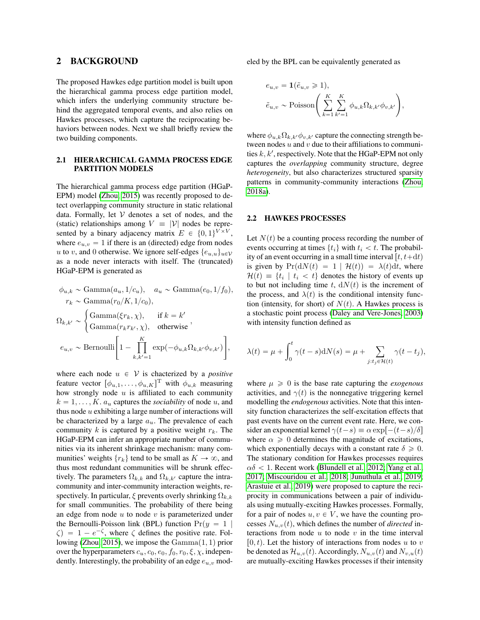### 2 BACKGROUND

The proposed Hawkes edge partition model is built upon the hierarchical gamma process edge partition model, which infers the underlying community structure behind the aggregated temporal events, and also relies on Hawkes processes, which capture the reciprocating behaviors between nodes. Next we shall briefly review the two building components.

#### 2.1 HIERARCHICAL GAMMA PROCESS EDGE PARTITION MODELS

The hierarchical gamma process edge partition (HGaP-EPM) model [\(Zhou, 2015\)](#page-9-14) was recently proposed to detect overlapping community structure in static relational data. Formally, let  $V$  denotes a set of nodes, and the (static) relationships among  $V \equiv |\mathcal{V}|$  nodes be represented by a binary adjacency matrix  $E \in \{0, 1\}^{V \times V}$ , where  $e_{u,v} = 1$  if there is an (directed) edge from nodes u to v, and 0 otherwise. We ignore self-edges  $\{e_{u,u}\}_{u\in\mathcal{V}}$ as a node never interacts with itself. The (truncated) HGaP-EPM is generated as

$$
\phi_{u,k} \sim \text{Gamma}(a_u, 1/c_u), \quad a_u \sim \text{Gamma}(e_0, 1/f_0),
$$
\n
$$
r_k \sim \text{Gamma}(r_0/K, 1/c_0),
$$
\n
$$
\Omega_{k,k'} \sim \begin{cases}\n\text{Gamma}(\xi r_k, \chi), & \text{if } k = k' \\
\text{Gamma}(r_k r_{k'}, \chi), & \text{otherwise}\n\end{cases},
$$
\n
$$
e_{u,v} \sim \text{Bernoulli}\left[1 - \prod_{k,k'=1}^K \exp(-\phi_{u,k}\Omega_{k,k'}\phi_{v,k'})\right],
$$

where each node  $u \in V$  is chacterized by a *positive* feature vector  $[\phi_{u,1}, \dots, \phi_{u,K}]^{\text{T}}$  with  $\phi_{u,k}$  measuring how strongly node  $u$  is affiliated to each community  $k = 1, \ldots, K$ .  $a_u$  captures the *sociability* of node u, and thus node  $u$  exhibiting a large number of interactions will be characterized by a large  $a_u$ . The prevalence of each community  $k$  is captured by a positive weight  $r_k$ . The HGaP-EPM can infer an appropriate number of communities via its inherent shrinkage mechanism: many communities' weights  $\{r_k\}$  tend to be small as  $K \to \infty$ , and thus most redundant communities will be shrunk effectively. The parameters  $\Omega_{k,k}$  and  $\Omega_{k,k'}$  capture the intracommunity and inter-community interaction weights, respectively. In particular,  $\xi$  prevents overly shrinking  $\Omega_{k,k}$ for small communities. The probability of there being an edge from node  $u$  to node  $v$  is parameterized under the Bernoulli-Poisson link (BPL) function  $Pr(y = 1)$  $\zeta$  = 1 –  $e^{-\zeta}$ , where  $\zeta$  defines the positive rate. Fol-lowing [\(Zhou, 2015\)](#page-9-14), we impose the  $Gamma(1, 1)$  prior over the hyperparameters  $c_u$ ,  $c_0$ ,  $e_0$ ,  $f_0$ ,  $r_0$ ,  $\xi$ ,  $\chi$ , independently. Interestingly, the probability of an edge  $e_{u,v}$  modeled by the BPL can be equivalently generated as

$$
e_{u,v} = \mathbf{1}(\tilde{e}_{u,v} \ge 1),
$$
  

$$
\tilde{e}_{u,v} \sim \text{Poisson}\left(\sum_{k=1}^K \sum_{k'=1}^K \phi_{u,k} \Omega_{k,k'} \phi_{v,k'}\right),
$$

where  $\phi_{u,k}\Omega_{k,k'}\phi_{v,k'}$  capture the connecting strength between nodes  $u$  and  $v$  due to their affiliations to communities  $k, k'$ , respectively. Note that the HGaP-EPM not only captures the *overlapping* community structure, degree *heterogeneity*, but also characterizes structured sparsity patterns in community-community interactions [\(Zhou,](#page-9-16) [2018a\)](#page-9-16).

#### 2.2 HAWKES PROCESSES

Let  $N(t)$  be a counting process recording the number of events occurring at times  $\{t_i\}$  with  $t_i < t$ . The probability of an event occurring in a small time interval  $[t, t+dt)$ is given by  $Pr(dN(t) = 1 | \mathcal{H}(t)) = \lambda(t)dt$ , where  $\mathcal{H}(t) \equiv \{t_i \mid t_i < t\}$  denotes the history of events up to but not including time t,  $dN(t)$  is the increment of the process, and  $\lambda(t)$  is the conditional intensity function (intensity, for short) of  $N(t)$ . A Hawkes process is a stochastic point process [\(Daley and Vere-Jones, 2003\)](#page-9-17) with intensity function defined as

$$
\lambda(t) = \mu + \int_0^t \gamma(t - s) dN(s) = \mu + \sum_{j:t_j \in \mathcal{H}(t)} \gamma(t - t_j),
$$

where  $\mu \geq 0$  is the base rate capturing the *exogenous* activities, and  $\gamma(t)$  is the nonnegative triggering kernel modelling the *endogenous* activities. Note that this intensity function characterizes the self-excitation effects that past events have on the current event rate. Here, we consider an exponential kernel  $\gamma(t-s) \equiv \alpha \exp[-(t-s)/\delta]$ where  $\alpha \geq 0$  determines the magnitude of excitations, which exponentially decays with a constant rate  $\delta \geq 0$ . The stationary condition for Hawkes processes requires  $\alpha\delta$  < 1. Recent work [\(Blundell et al., 2012;](#page-9-5) [Yang et al.,](#page-9-1) [2017;](#page-9-1) [Miscouridou et al., 2018;](#page-9-8) [Junuthula et al., 2019;](#page-9-9) [Arastuie et al., 2019\)](#page-9-10) were proposed to capture the reciprocity in communications between a pair of individuals using mutually-exciting Hawkes processes. Formally, for a pair of nodes  $u, v \in V$ , we have the counting processes  $N_{u,v}(t)$ , which defines the number of *directed* interactions from node  $u$  to node  $v$  in the time interval  $[0, t)$ . Let the history of interactions from nodes u to v be denoted as  $\mathcal{H}_{u,v}(t)$ . Accordingly,  $N_{u,v}(t)$  and  $N_{v,u}(t)$ are mutually-exciting Hawkes processes if their intensity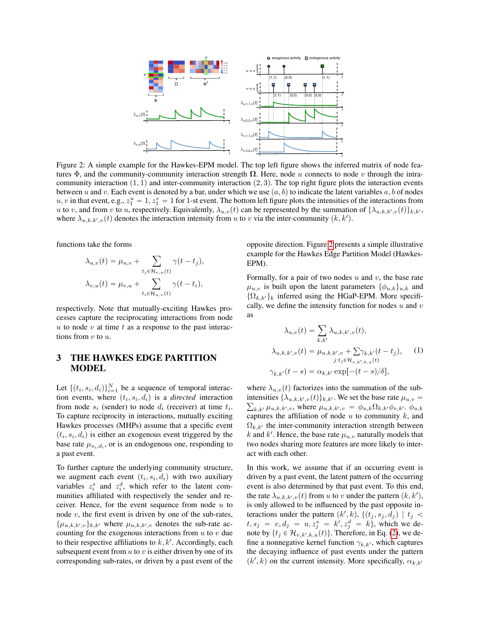<span id="page-3-0"></span>

Figure 2: A simple example for the Hawkes-EPM model. The top left figure shows the inferred matrix of node features  $\Phi$ , and the community-community interaction strength  $\Omega$ . Here, node u connects to node v through the intracommunity interaction  $(1, 1)$  and inter-community interaction  $(2, 3)$ . The top right figure plots the interaction events between u and v. Each event is denoted by a bar, under which we use  $(a, b)$  to indicate the latent variables a, b of nodes u, v in that event, e.g.,  $z_1^u = 1$ ,  $z_1^v = 1$  for 1-st event. The bottom left figure plots the intensities of the interactions from u to v, and from v to u, respectively. Equivalently,  $\lambda_{u,v}(t)$  can be represented by the summation of  $\{\lambda_{u,k,k',v}(t)\}_{k,k'}$ , where  $\lambda_{u,k,k',v}(t)$  denotes the interaction intensity from u to v via the inter-community  $(k, k')$ .

functions take the forms

$$
\lambda_{u,v}(t) = \mu_{u,v} + \sum_{t_j \in \mathcal{H}_{v,u}(t)} \gamma(t - t_j),
$$
  

$$
\lambda_{v,u}(t) = \mu_{v,u} + \sum_{t_i \in \mathcal{H}_{u,v}(t)} \gamma(t - t_i),
$$

respectively. Note that mutually-exciting Hawkes processes capture the reciprocating interactions from node  $u$  to node  $v$  at time  $t$  as a response to the past interactions from  $v$  to  $u$ .

# 3 THE HAWKES EDGE PARTITION MODEL

Let  $\{(t_i, s_i, d_i)\}_{i=1}^N$  be a sequence of temporal interaction events, where  $(t_i, s_i, d_i)$  is a *directed* interaction from node  $s_i$  (sender) to node  $d_i$  (receiver) at time  $t_i$ . To capture reciprocity in interactions, mutually exciting Hawkes processes (MHPs) assume that a specific event  $(t_i, s_i, d_i)$  is either an exogenous event triggered by the base rate  $\mu_{s_i,d_i}$ , or is an endogenous one, responding to a past event.

To further capture the underlying community structure, we augment each event  $(t_i, s_i, d_i)$  with two auxiliary variables  $z_i^s$  and  $z_i^d$ , which refer to the latent communities affiliated with respectively the sender and receiver. Hence, for the event sequence from node  $u$  to node  $v$ , the first event is driven by one of the sub-rates,  $\{\mu_{u,k,k',v}\}_{k,k'}$  where  $\mu_{u,k,k',v}$  denotes the sub-rate accounting for the exogenous interactions from  $u$  to  $v$  due to their respective affiliations to  $k, k'$ . Accordingly, each subsequent event from  $u$  to  $v$  is either driven by one of its corresponding sub-rates, or driven by a past event of the opposite direction. Figure [2](#page-3-0) presents a simple illustrative example for the Hawkes Edge Partition Model (Hawkes-EPM).

Formally, for a pair of two nodes  $u$  and  $v$ , the base rate  $\mu_{u,v}$  is built upon the latent parameters  $\{\phi_{u,k}\}_{u,k}$  and  $\{\Omega_{k,k'}\}_k$  inferred using the HGaP-EPM. More specifically, we define the intensity function for nodes  $u$  and  $v$ as

$$
\lambda_{u,v}(t) = \sum_{k,k'} \lambda_{u,k,k',v}(t),
$$
  

$$
\lambda_{u,k,k',v}(t) = \mu_{u,k,k',v} + \sum \gamma_{k,k'}(t - t_j),
$$
  

$$
j: t_j \in \mathcal{H}_{v,k',k,u}(t)
$$
  

$$
\gamma_{k,k'}(t - s) = \alpha_{k,k'} \exp[-(t - s)/\delta],
$$
 (1)

where  $\lambda_{u,v}(t)$  factorizes into the summation of the subintensities  $\{\lambda_{u,k,k',v}(t)\}_{k,k'}$ . We set the base rate  $\mu_{u,v}$  =  $k_{k,k'} \mu_{u,k,k',v}$ , where  $\mu_{u,k,k',v} = \phi_{u,k} \Omega_{k,k'} \phi_{v,k'}$ .  $\phi_{u,k}$ captures the affiliation of node  $u$  to community  $k$ , and  $\Omega_{k,k'}$  the inter-community interaction strength between k and k'. Hence, the base rate  $\mu_{u,v}$  naturally models that two nodes sharing more features are more likely to interact with each other.

In this work, we assume that if an occurring event is driven by a past event, the latent pattern of the occurring event is also determined by that past event. To this end, the rate  $\lambda_{u,k,k',v}(t)$  from u to v under the pattern  $(k, k'),$ is only allowed to be influenced by the past opposite interactions under the pattern  $(k', k)$ ,  $\{(t_j, s_j, d_j) | t_j <$  $t, s_j = v, d_j = u, z_j^s = k', z_j^d = k$ , which we denote by  $\{t_j \in \mathcal{H}_{v,k',k,u}(t)\}$ . Therefore, in Eq. [\(2\)](#page-4-0), we define a nonnegative kernel function  $\gamma_{k,k}$ , which captures the decaying influence of past events under the pattern  $(k', k)$  on the current intensity. More specifically,  $\alpha_{k,k'}$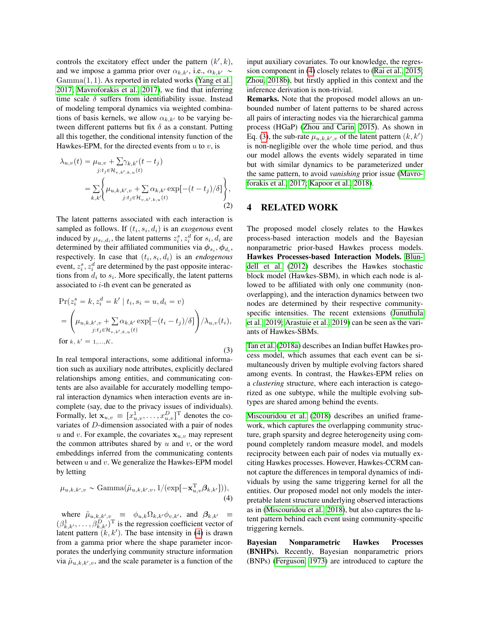controls the excitatory effect under the pattern  $(k', k)$ , and we impose a gamma prior over  $\alpha_{k,k}$ , i.e.,  $\alpha_{k,k'} \sim$  $Gamma(1, 1)$ . As reported in related works [\(Yang et al.,](#page-9-1) [2017;](#page-9-1) [Mavroforakis et al., 2017\)](#page-9-0), we find that inferring time scale  $\delta$  suffers from identifiability issue. Instead of modeling temporal dynamics via weighted combinations of basis kernels, we allow  $\alpha_{k,k'}$  to be varying between different patterns but fix  $\delta$  as a constant. Putting all this together, the conditional intensity function of the Hawkes-EPM, for the directed events from  $u$  to  $v$ , is

<span id="page-4-0"></span>
$$
\lambda_{u,v}(t) = \mu_{u,v} + \sum_{j:t_j \in \mathcal{H}_{v,k',k,u}(t)} \gamma_{i:t_j \in \mathcal{H}_{v,k',k,u}(t)} \n= \sum_{k,k'} \left\{ \mu_{u,k,k',v} + \sum_{j:t_j \in \mathcal{H}_{v,k',k,u}(t)} \alpha_{k,k'} \exp[-(t-t_j)/\delta] \right\},
$$
\n(2)

The latent patterns associated with each interaction is sampled as follows. If  $(t_i, s_i, d_i)$  is an *exogenous* event induced by  $\mu_{s_i,d_i}$ , the latent patterns  $z_i^s, z_i^d$  for  $s_i, d_i$  are determined by their affiliated communities via  $\phi_{s_i}, \phi_{d_i}$ , respectively. In case that  $(t_i, s_i, d_i)$  is an *endogenous* event,  $z_i^s$ ,  $z_i^d$  are determined by the past opposite interactions from  $d_i$  to  $s_i$ . More specifically, the latent patterns associated to  $i$ -th event can be generated as

<span id="page-4-2"></span>
$$
\Pr(z_i^s = k, z_i^d = k' | t_i, s_i = u, d_i = v)
$$
  
=  $\left( \mu_{u,k,k',v} + \sum_{j:t_j \in \mathcal{H}_{v,k',k,u}(t)} \alpha_{k,k'} \exp[-(t_i - t_j)/\delta] \right) / \lambda_{u,v}(t_i),$   
for  $k, k' = 1,...,K.$  (3)

In real temporal interactions, some additional information such as auxiliary node attributes, explicitly declared relationships among entities, and communicating contents are also available for accurately modelling temporal interaction dynamics when interaction events are incomplete (say, due to the privacy issues of individuals). Formally, let  $\mathbf{x}_{u,v} \equiv [x_{u,v}^1, \dots, x_{u,v}^D]^{\text{T}}$  denotes the covariates of D-dimension associated with a pair of nodes u and v. For example, the covariates  $x_{u,v}$  may represent the common attributes shared by  $u$  and  $v$ , or the word embeddings inferred from the communicating contents between  $u$  and  $v$ . We generalize the Hawkes-EPM model by letting

$$
\mu_{u,k,k',v} \sim \text{Gamma}(\tilde{\mu}_{u,k,k',v}, 1/(\exp[-\mathbf{x}_{u,v}^{\mathrm{T}} \boldsymbol{\beta}_{k,k'}])),
$$
\n(4)

where  $\tilde{\mu}_{u,k,k',v} \equiv \phi_{u,k} \Omega_{k,k'} \phi_{v,k'}$ , and  $\beta_{k,k'} \equiv$  $(\beta_{k,k'}^1, \ldots, \beta_{k,k'}^D)^T$  is the regression coefficient vector of latent pattern  $(k, k')$ . The base intensity in [\(4\)](#page-4-1) is drawn from a gamma prior where the shape parameter incorporates the underlying community structure information via  $\tilde{\mu}_{u,k,k',v}$ , and the scale parameter is a function of the

input auxiliary covariates. To our knowledge, the regression component in [\(4\)](#page-4-1) closely relates to [\(Rai et al., 2015;](#page-9-18) [Zhou, 2018b\)](#page-9-19), but firstly applied in this context and the inference derivation is non-trivial.

Remarks. Note that the proposed model allows an unbounded number of latent patterns to be shared across all pairs of interacting nodes via the hierarchical gamma process (HGaP) [\(Zhou and Carin, 2015\)](#page-9-15). As shown in Eq. [\(3\)](#page-4-2), the sub-rate  $\mu_{u,k,k',v}$  of the latent pattern  $(k, k')$ is non-negligible over the whole time period, and thus our model allows the events widely separated in time but with similar dynamics to be parameterized under the same pattern, to avoid *vanishing* prior issue [\(Mavro](#page-9-0)[forakis et al., 2017;](#page-9-0) [Kapoor et al., 2018\)](#page-9-20).

## 4 RELATED WORK

The proposed model closely relates to the Hawkes process-based interaction models and the Bayesian nonparametric prior-based Hawkes process models. Hawkes Processes-based Interaction Models. [Blun](#page-9-5)[dell et al.](#page-9-5) [\(2012\)](#page-9-5) describes the Hawkes stochastic block model (Hawkes-SBM), in which each node is allowed to be affiliated with only one community (nonoverlapping), and the interaction dynamics between two nodes are determined by their respective communityspecific intensities. The recent extensions [\(Junuthula](#page-9-9) [et al., 2019;](#page-9-9) [Arastuie et al., 2019\)](#page-9-10) can be seen as the variants of Hawkes-SBMs.

[Tan et al.](#page-9-13) [\(2018a\)](#page-9-13) describes an Indian buffet Hawkes process model, which assumes that each event can be simultaneously driven by multiple evolving factors shared among events. In contrast, the Hawkes-EPM relies on a *clustering* structure, where each interaction is categorized as one subtype, while the multiple evolving subtypes are shared among behind the events.

[Miscouridou et al.](#page-9-8) [\(2018\)](#page-9-8) describes an unified framework, which captures the overlapping community structure, graph sparsity and degree heterogeneity using compound completely random measure model, and models reciprocity between each pair of nodes via mutually exciting Hawkes processes. However, Hawkes-CCRM cannot capture the differences in temporal dynamics of individuals by using the same triggering kernel for all the entities. Our proposed model not only models the interpretable latent structure underlying observed interactions as in [\(Miscouridou et al., 2018\)](#page-9-8), but also captures the latent pattern behind each event using community-specific triggering kernels.

<span id="page-4-1"></span>Bayesian Nonparametric Hawkes Processes (BNHPs). Recently, Bayesian nonparametric priors (BNPs) [\(Ferguson, 1973\)](#page-9-21) are introduced to capture the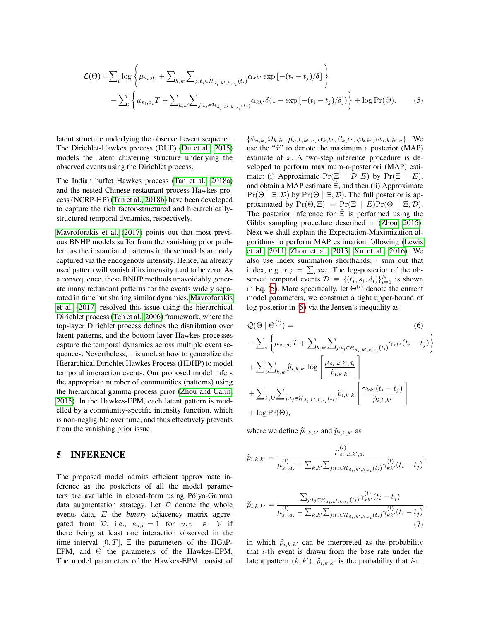$$
\mathcal{L}(\Theta) = \sum_{i} \log \left\{ \mu_{s_i, d_i} + \sum_{k, k'} \sum_{j: t_j \in \mathcal{H}_{d_i, k', k, s_i}(t_i)} \alpha_{kk'} \exp\left[ -(t_i - t_j) / \delta \right] \right\}
$$

$$
- \sum_{i} \left\{ \mu_{s_i, d_i} T + \sum_{k, k'} \sum_{j: t_j \in \mathcal{H}_{d_i, k', k, s_i}(t_i)} \alpha_{kk'} \delta(1 - \exp\left[ -(t_i - t_j) / \delta \right] ) \right\} + \log \Pr(\Theta). \tag{5}
$$

latent structure underlying the observed event sequence. The Dirichlet-Hawkes process (DHP) [\(Du et al., 2015\)](#page-9-11) models the latent clustering structure underlying the observed events using the Dirichlet process.

The Indian buffet Hawkes process [\(Tan et al., 2018a\)](#page-9-13) and the nested Chinese restaurant process-Hawkes process (NCRP-HP) [\(Tan et al., 2018b\)](#page-9-22) have been developed to capture the rich factor-structured and hierarchicallystructured temporal dynamics, respectively.

[Mavroforakis et al.](#page-9-0) [\(2017\)](#page-9-0) points out that most previous BNHP models suffer from the vanishing prior problem as the instantiated patterns in these models are only captured via the endogenous intensity. Hence, an already used pattern will vanish if its intensity tend to be zero. As a consequence, these BNHP methods unavoidably generate many redundant patterns for the events widely separated in time but sharing similar dynamics. [Mavroforakis](#page-9-0) [et al.](#page-9-0) [\(2017\)](#page-9-0) resolved this issue using the hierarchical Dirichlet process [\(Teh et al., 2006\)](#page-9-23) framework, where the top-layer Dirichlet process defines the distribution over latent patterns, and the bottom-layer Hawkes processes capture the temporal dynamics across multiple event sequences. Nevertheless, it is unclear how to generalize the Hierarchical Dirichlet Hawkes Process (HDHP) to model temporal interaction events. Our proposed model infers the appropriate number of communities (patterns) using the hierarchical gamma process prior [\(Zhou and Carin,](#page-9-15) [2015\)](#page-9-15). In the Hawkes-EPM, each latent pattern is modelled by a community-specific intensity function, which is non-negligible over time, and thus effectively prevents from the vanishing prior issue.

#### 5 INFERENCE

The proposed model admits efficient approximate inference as the posteriors of all the model parameters are available in closed-form using Pólya-Gamma data augmentation strategy. Let  $D$  denote the whole events data, E the *binary* adjacency matrix aggregated from D, i.e.,  $e_{u,v} = 1$  for  $u, v \in \mathcal{V}$  if there being at least one interaction observed in the time interval  $[0, T]$ , Ξ the parameters of the HGaP-EPM, and Θ the parameters of the Hawkes-EPM. The model parameters of the Hawkes-EPM consist of

<span id="page-5-0"></span> $\{\phi_{u,k}, \Omega_{k,k'}, \mu_{u,k,k',v}, \alpha_{k,k'}, \beta_{k,k'}, \psi_{k,k'}, \omega_{u,k,k',v}\}.$  We use the " $\hat{x}$ " to denote the maximum a posterior (MAP) estimate of  $x$ . A two-step inference procedure is developed to perform maximum-a-posteriori (MAP) estimate: (i) Approximate  $Pr(\Xi | \mathcal{D}, E)$  by  $Pr(\Xi | E)$ , and obtain a MAP estimate  $\hat{\Xi}$ , and then (ii) Approximate  $Pr(\Theta \mid \Xi, \mathcal{D})$  by  $Pr(\Theta \mid \Xi, \mathcal{D})$ . The full posterior is approximated by  $Pr(\Theta, \Xi) = Pr(\Xi | E)Pr(\Theta | \Xi, \mathcal{D})$ . The posterior inference for  $\hat{\Xi}$  is performed using the Gibbs sampling procedure described in [\(Zhou, 2015\)](#page-9-14). Next we shall explain the Expectation-Maximization algorithms to perform MAP estimation following [\(Lewis](#page-9-24) [et al., 2011;](#page-9-24) [Zhou et al., 2013;](#page-9-25) [Xu et al., 2016\)](#page-9-26). We also use index summation shorthands:  $\cdot$  sum out that index, e.g.  $x_{\cdot j} = \sum_i x_{ij}$ . The log-posterior of the observed temporal events  $\mathcal{D} = \{(t_i, s_i, d_i)\}_{i=1}^N$  is shown in Eq. [\(5\)](#page-5-0). More specifically, let  $\Theta^{(l)}$  denote the current model parameters, we construct a tight upper-bound of log-posterior in [\(5\)](#page-5-0) via the Jensen's inequality as

$$
Q(\Theta | \Theta^{(l)}) =
$$
\n
$$
-\sum_{i} \left\{ \mu_{s_i, d_i} T + \sum_{k, k'} \sum_{j: t_j \in \mathcal{H}_{d_i, k', k, s_i}(t_i)} \gamma_{kk'}(t_i - t_j) \right\}
$$
\n
$$
+\sum_{i} \sum_{k, k'} \hat{p}_{i,k,k'} \log \left[ \frac{\mu_{s_i, k, k', d_i}}{\hat{p}_{i,k,k'}} \right]
$$
\n
$$
+\sum_{k, k'} \sum_{j: t_j \in \mathcal{H}_{d_i, k', k, s_i}(t_i)} \tilde{p}_{i,k,k'} \left[ \frac{\gamma_{kk'}(t_i - t_j)}{\tilde{p}_{i,k,k'}} \right]
$$
\n
$$
+ \log \Pr(\Theta),
$$
\n(6)

where we define  $\hat{p}_{i,k,k'}$  and  $\check{p}_{i,k,k'}$  as

$$
\widehat{p}_{i,k,k'} = \frac{\mu_{s_i,k,k',d_i}^{(l)}}{\mu_{s_i,d_i}^{(l)} + \sum_{k,k'} \sum_{j:t_j \in \mathcal{H}_{d_i,k',k,s_i}(t_i)} \gamma_{kk'}^{(l)}(t_i - t_j)},
$$

$$
\widetilde{p}_{i,k,k'} = \frac{\sum_{j:t_j \in \mathcal{H}_{d_i,k',k,s_i}(t_i)} \gamma_{kk'}^{(l)}(t_i - t_j)}{\mu_{s_i,d_i}^{(l)} + \sum_{k,k'} \sum_{j:t_j \in \mathcal{H}_{d_i,k',k,s_i}(t_i)} \gamma_{kk'}^{(l)}(t_i - t_j)}.
$$
\n(7)

<span id="page-5-1"></span>in which  $\hat{p}_{i,k,k'}$  can be interpreted as the probability that  $i$ -th event is drawn from the base rate under the latent pattern  $(k, k')$ .  $\widetilde{p}_{i,k,k'}$  is the probability that *i*-th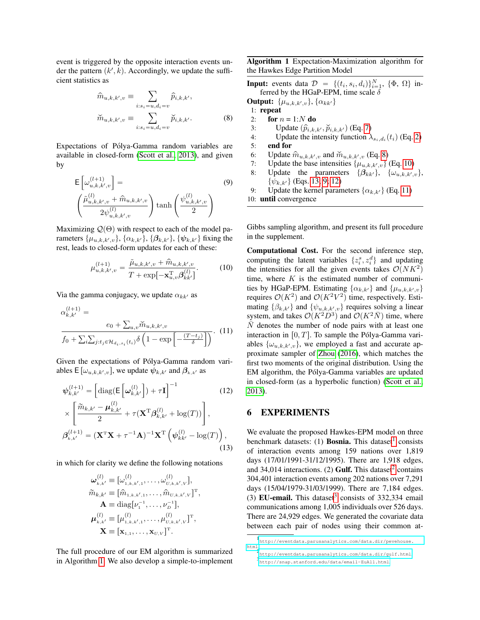event is triggered by the opposite interaction events under the pattern  $(k', k)$ . Accordingly, we update the sufficient statistics as

$$
\widehat{m}_{u,k,k',v} \equiv \sum_{i:s_i=u,d_i=v} \widehat{p}_{i,k,k'},
$$
\n
$$
\widetilde{m}_{u,k,k',v} \equiv \sum_{i:s_i=u,d_i=v} \widetilde{p}_{i,k,k'}.
$$
\n(8)

Expectations of Pólya-Gamma random variables are available in closed-form [\(Scott et al., 2013\)](#page-9-27), and given by

$$
\mathsf{E}\left[\omega_{u,k,k',v}^{(l+1)}\right] = \left(\frac{\tilde{\mu}_{u,k,k',v}^{(l)} + \hat{m}_{u,k,k',v}}{2\psi_{u,k,k',v}^{(l)}}\right)\tanh\left(\frac{\psi_{u,k,k',v}^{(l)}}{2}\right)
$$
\n(9)

Maximizing  $\mathcal{Q}(\Theta)$  with respect to each of the model parameters  $\{\mu_{u,k,k',v}\}, \{\alpha_{k,k'}\}, \{\beta_{k,k'}\}, \{\psi_{k,k'}\}$  fixing the rest, leads to closed-form updates for each of these:

$$
\mu_{u,k,k',v}^{(l+1)} = \frac{\tilde{\mu}_{u,k,k',v} + \hat{m}_{u,k,k',v}}{T + \exp[-\mathbf{x}_{u,v}^{\mathrm{T}} \boldsymbol{\beta}_{kk'}^{(l)}]}.
$$
(10)

Via the gamma conjugacy, we update  $\alpha_{kk'}$  as

$$
\alpha_{k,k'}^{(l+1)} =
$$
\n
$$
\frac{e_0 + \sum_{u,v} \widetilde{m}_{u,k,k',v}}{f_0 + \sum_i \sum_{j:t_j \in \mathcal{H}_{d_i,s_i}(t_i)} \delta\left(1 - \exp\left[-\frac{(T - t_j)}{\delta}\right]\right)}.
$$
\n(11)

Given the expectations of Pólya-Gamma random variables  $\mathsf{E}\left[\omega_{u,k,k',v}\right]$ , we update  $\psi_{k,k'}$  and  $\beta_{k,k'}$  as

$$
\psi_{k,k'}^{(l+1)} = \left[ \text{diag}(\mathsf{E}\left[\boldsymbol{\omega}_{k,k'}^{(l)}\right]) + \tau \mathbf{I} \right]^{-1} \qquad (12)
$$

$$
\times \left[ \frac{\widetilde{m}_{k,k'} - \boldsymbol{\mu}_{k,k'}^{(l)}}{2} + \tau (\mathbf{X}^{\mathrm{T}} \boldsymbol{\beta}_{k,k'}^{(l)} + \log(T)) \right],
$$

$$
\boldsymbol{\beta}_{k,k'}^{(l+1)} = (\mathbf{X}^{\mathrm{T}} \mathbf{X} + \tau^{-1} \mathbf{A})^{-1} \mathbf{X}^{\mathrm{T}} \left( \boldsymbol{\psi}_{kk'}^{(l)} - \log(T) \right), \qquad (13)
$$

in which for clarity we define the following notations

$$
\boldsymbol{\omega}_{k,k'}^{(l)} \equiv [\omega_{1,k,k',1}^{(l)}, \dots, \omega_{U,k,k',V}^{(l)}],
$$
  
\n
$$
\widetilde{m}_{k,k'} \equiv [\widehat{m}_{1,k,k',1}, \dots, \widehat{m}_{U,k,k',V}]^{T},
$$
  
\n
$$
\mathbf{A} \equiv \text{diag}[V_{1}^{-1}, \dots, V_{D}^{-1}],
$$
  
\n
$$
\boldsymbol{\mu}_{k,k'}^{(l)} \equiv [\mu_{1,k,k',1}^{(l)}, \dots, \mu_{U,k,k',V}^{(l)}]^{T},
$$
  
\n
$$
\mathbf{X} \equiv [\mathbf{x}_{1,1}, \dots, \mathbf{x}_{U,V}]^{T}.
$$

The full procedure of our EM algorithm is summarized in Algorithm [1.](#page-6-0) We also develop a simple-to-implement <span id="page-6-0"></span>Algorithm 1 Expectation-Maximization algorithm for the Hawkes Edge Partition Model

**Input:** events data  $\mathcal{D} = \{(t_i, s_i, d_i)\}_{i=1}^N$ ,  $\{\Phi, \Omega\}$  inferred by the HGaP-EPM, time scale  $\delta$ 

<span id="page-6-1"></span>**Output:**  $\{\mu_{u,k,k',v}\}, \{\alpha_{kk'}\}$ 

- 1: repeat
- 2: for  $n = 1:N$  do
- 3: Update  $(\hat{p}_{i,k,k'}, \check{p}_{i,k,k'})$  (Eq. [7\)](#page-5-1)<br>4: Update the intensity function  $\lambda$
- 4: Update the intensity function  $\lambda_{s_i,d_i}(t_i)$  (Eq. [2\)](#page-4-0)
- 5: end for
- 6: Update  $\hat{m}_{u,k,k',v}$  and  $\check{m}_{u,k,k',v}$  (Eq. [8\)](#page-6-1)
- 7: Update the base intensities  $\{\mu_{u,k,k',v}\}\$  (Eq. [10\)](#page-6-2)
- <span id="page-6-4"></span>8: Update the parameters  $\{\beta_{kk'}\}, \{\omega_{u,k,k',v}\},$  $\{\psi_{k,k'}\}\$  (Eqs. [13;](#page-6-3) [9;](#page-6-4) [12\)](#page-6-5)
- 9: Update the kernel parameters  $\{\alpha_{k,k'}\}$  (Eq. [11\)](#page-6-6)

10: until convergence

Gibbs sampling algorithm, and present its full procedure in the supplement.

<span id="page-6-6"></span><span id="page-6-2"></span>Computational Cost. For the second inference step, computing the latent variables  $\{z_i^s, z_i^d\}$  and updating the intensities for all the given events takes  $\mathcal{O}(NK^2)$ time, where  $K$  is the estimated number of communities by HGaP-EPM. Estimating  $\{\alpha_{k,k'}\}$  and  $\{\mu_{u,k,k',v}\}$ requires  $\mathcal{O}(K^2)$  and  $\mathcal{O}(K^2V^2)$  time, respectively. Estimating  $\{\beta_{k,k'}\}$  and  $\{\psi_{u,k,k',v}\}$  requires solving a linear system, and takes  $\mathcal{O}(K^2D^3)$  and  $\mathcal{O}(K^2\bar{N})$  time, where  $\overline{N}$  denotes the number of node pairs with at least one interaction in  $[0, T]$ . To sample the Pólya-Gamma variables  $\{\omega_{u,k,k',v}\}\$ , we employed a fast and accurate approximate sampler of [Zhou](#page-9-28) [\(2016\)](#page-9-28), which matches the first two moments of the original distribution. Using the EM algorithm, the Pólya-Gamma variables are updated in closed-form (as a hyperbolic function) [\(Scott et al.,](#page-9-27) [2013\)](#page-9-27).

# <span id="page-6-5"></span>6 EXPERIMENTS

<span id="page-6-3"></span>We evaluate the proposed Hawkes-EPM model on three benchmark datasets: ([1](#page-6-7)) **Bosnia.** This dataset<sup>1</sup> consists of interaction events among 159 nations over 1,819 days (17/01/1991-31/12/1995). There are 1,918 edges, and 34,014 interactions. ([2](#page-6-8)) Gulf. This dataset<sup>2</sup> contains 304,401 interaction events among 202 nations over 7,291 days (15/04/1979-31/03/1999). There are 7,184 edges. ([3](#page-6-9)) EU-email. This dataset<sup>3</sup> consists of 332,334 email communications among 1,005 individuals over 526 days. There are 24,929 edges. We generated the covariate data between each pair of nodes using their common at-

<span id="page-6-7"></span><sup>1</sup> [http://eventdata.parusanalytics.com/data.dir/pevehouse.](http://eventdata.parusanalytics.com/data.dir/pevehouse.html)

<span id="page-6-9"></span><span id="page-6-8"></span>[html](http://eventdata.parusanalytics.com/data.dir/pevehouse.html). 2 <http://eventdata.parusanalytics.com/data.dir/gulf.html>. 3 <http://snap.stanford.edu/data/email-EuAll.html>.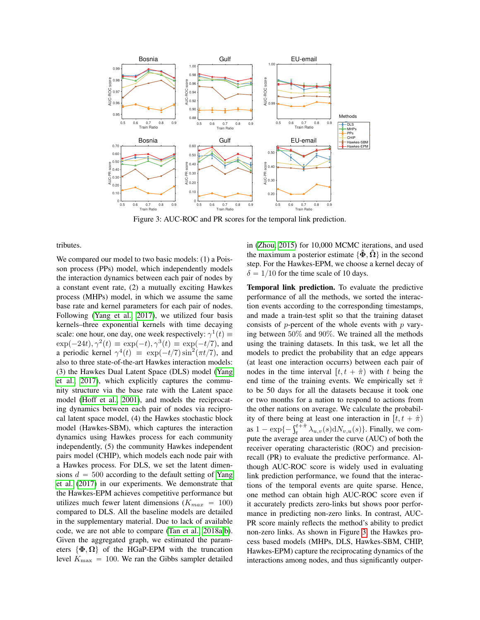<span id="page-7-0"></span>

Figure 3: AUC-ROC and PR scores for the temporal link prediction.

tributes.

We compared our model to two basic models: (1) a Poisson process (PPs) model, which independently models the interaction dynamics between each pair of nodes by a constant event rate, (2) a mutually exciting Hawkes process (MHPs) model, in which we assume the same base rate and kernel parameters for each pair of nodes. Following [\(Yang et al., 2017\)](#page-9-1), we utilized four basis kernels–three exponential kernels with time decaying scale: one hour, one day, one week respectively:  $\gamma^1(t) \equiv$  $\exp(-24t), \gamma^2(t) \equiv \exp(-t), \gamma^3(t) \equiv \exp(-t/7)$ , and a periodic kernel  $\gamma^4(t) \equiv \exp(-t/7) \sin^2(\pi t/7)$ , and also to three state-of-the-art Hawkes interaction models: (3) the Hawkes Dual Latent Space (DLS) model [\(Yang](#page-9-1) [et al., 2017\)](#page-9-1), which explicitly captures the community structure via the base rate with the Latent space model [\(Hoff et al., 2001\)](#page-9-29), and models the reciprocating dynamics between each pair of nodes via reciprocal latent space model, (4) the Hawkes stochastic block model (Hawkes-SBM), which captures the interaction dynamics using Hawkes process for each community independently, (5) the community Hawkes independent pairs model (CHIP), which models each node pair with a Hawkes process. For DLS, we set the latent dimensions  $d = 500$  according to the default setting of [Yang](#page-9-1) [et al.](#page-9-1) [\(2017\)](#page-9-1) in our experiments. We demonstrate that the Hawkes-EPM achieves competitive performance but utilizes much fewer latent dimensions  $(K_{max} = 100)$ compared to DLS. All the baseline models are detailed in the supplementary material. Due to lack of available code, we are not able to compare [\(Tan et al., 2018a,](#page-9-13)[b\)](#page-9-22). Given the aggregated graph, we estimated the parameters  $\{\Phi, \Omega\}$  of the HGaP-EPM with the truncation level  $K_{\text{max}} = 100$ . We ran the Gibbs sampler detailed in [\(Zhou, 2015\)](#page-9-14) for 10,000 MCMC iterations, and used the maximum a posterior estimate  $\{\hat{\Phi}, \hat{\Omega}\}\$ in the second step. For the Hawkes-EPM, we choose a kernel decay of  $\delta = 1/10$  for the time scale of 10 days.

Temporal link prediction. To evaluate the predictive performance of all the methods, we sorted the interaction events according to the corresponding timestamps, and made a train-test split so that the training dataset consists of  $p$ -percent of the whole events with  $p$  varying between 50% and 90%. We trained all the methods using the training datasets. In this task, we let all the models to predict the probability that an edge appears (at least one interaction occurrs) between each pair of nodes in the time interval  $[t, t + \hat{\pi})$  with t being the end time of the training events. We empirically set  $\hat{\pi}$ to be 50 days for all the datasets because it took one or two months for a nation to respond to actions from the other nations on average. We calculate the probability of there being at least one interaction in  $[t, t + \hat{\pi})$ as  $1 - \exp\{-\int_{t}^{t+\hat{\pi}} \lambda_{u,v}(s) dN_{v,u}(s)\}\.$  Finally, we compute the average area under the curve (AUC) of both the receiver operating characteristic (ROC) and precisionrecall (PR) to evaluate the predictive performance. Although AUC-ROC score is widely used in evaluating link prediction performance, we found that the interactions of the temporal events are quite sparse. Hence, one method can obtain high AUC-ROC score even if it accurately predicts zero-links but shows poor performance in predicting non-zero links. In contrast, AUC-PR score mainly reflects the method's ability to predict non-zero links. As shown in Figure [3,](#page-7-0) the Hawkes process based models (MHPs, DLS, Hawkes-SBM, CHIP, Hawkes-EPM) capture the reciprocating dynamics of the interactions among nodes, and thus significantly outper-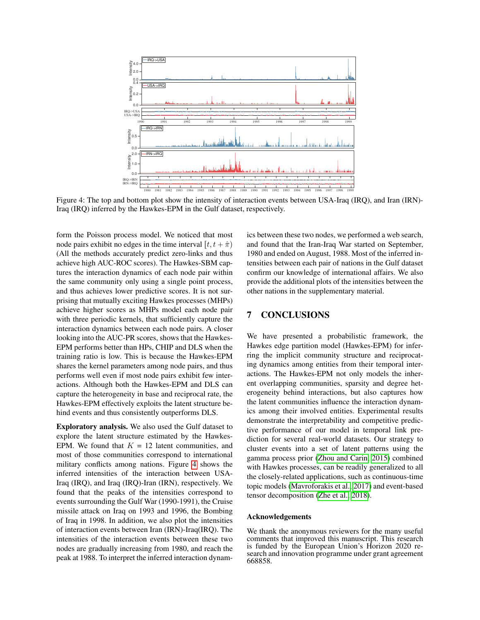<span id="page-8-0"></span>

Figure 4: The top and bottom plot show the intensity of interaction events between USA-Iraq (IRQ), and Iran (IRN)- Iraq (IRQ) inferred by the Hawkes-EPM in the Gulf dataset, respectively.

form the Poisson process model. We noticed that most node pairs exhibit no edges in the time interval  $[t, t + \hat{\pi})$ (All the methods accurately predict zero-links and thus achieve high AUC-ROC scores). The Hawkes-SBM captures the interaction dynamics of each node pair within the same community only using a single point process, and thus achieves lower predictive scores. It is not surprising that mutually exciting Hawkes processes (MHPs) achieve higher scores as MHPs model each node pair with three periodic kernels, that sufficiently capture the interaction dynamics between each node pairs. A closer looking into the AUC-PR scores, shows that the Hawkes-EPM performs better than HPs, CHIP and DLS when the training ratio is low. This is because the Hawkes-EPM shares the kernel parameters among node pairs, and thus performs well even if most node pairs exhibit few interactions. Although both the Hawkes-EPM and DLS can capture the heterogeneity in base and reciprocal rate, the Hawkes-EPM effectively exploits the latent structure behind events and thus consistently outperforms DLS.

Exploratory analysis. We also used the Gulf dataset to explore the latent structure estimated by the Hawkes-EPM. We found that  $K = 12$  latent communities, and most of those communities correspond to international military conflicts among nations. Figure [4](#page-8-0) shows the inferred intensities of the interaction between USA-Iraq (IRQ), and Iraq (IRQ)-Iran (IRN), respectively. We found that the peaks of the intensities correspond to events surrounding the Gulf War (1990-1991), the Cruise missile attack on Iraq on 1993 and 1996, the Bombing of Iraq in 1998. In addition, we also plot the intensities of interaction events between Iran (IRN)-Iraq(IRQ). The intensities of the interaction events between these two nodes are gradually increasing from 1980, and reach the peak at 1988. To interpret the inferred interaction dynamics between these two nodes, we performed a web search, and found that the Iran-Iraq War started on September, 1980 and ended on August, 1988. Most of the inferred intensities between each pair of nations in the Gulf dataset confirm our knowledge of international affairs. We also provide the additional plots of the intensities between the other nations in the supplementary material.

## 7 CONCLUSIONS

We have presented a probabilistic framework, the Hawkes edge partition model (Hawkes-EPM) for inferring the implicit community structure and reciprocating dynamics among entities from their temporal interactions. The Hawkes-EPM not only models the inherent overlapping communities, sparsity and degree heterogeneity behind interactions, but also captures how the latent communities influence the interaction dynamics among their involved entities. Experimental results demonstrate the interpretability and competitive predictive performance of our model in temporal link prediction for several real-world datasets. Our strategy to cluster events into a set of latent patterns using the gamma process prior [\(Zhou and Carin, 2015\)](#page-9-15) combined with Hawkes processes, can be readily generalized to all the closely-related applications, such as continuous-time topic models [\(Mavroforakis et al., 2017\)](#page-9-0) and event-based tensor decomposition [\(Zhe et al., 2018\)](#page-9-30).

#### Acknowledgements

We thank the anonymous reviewers for the many useful comments that improved this manuscript. This research is funded by the European Union's Horizon 2020 research and innovation programme under grant agreement 668858.